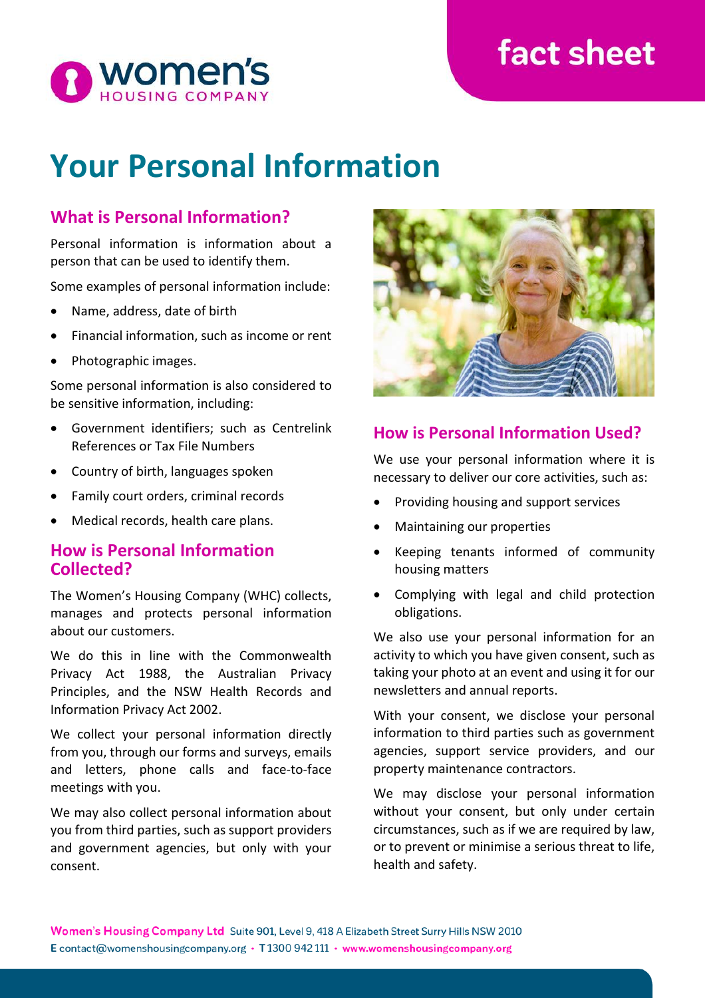# **fact sheet**



# **Your Personal Information**

## **What is Personal Information?**

Personal information is information about a person that can be used to identify them.

Some examples of personal information include:

- Name, address, date of birth
- Financial information, such as income or rent
- Photographic images.

Some personal information is also considered to be sensitive information, including:

- Government identifiers; such as Centrelink References or Tax File Numbers
- Country of birth, languages spoken
- Family court orders, criminal records
- Medical records, health care plans.

#### **How is Personal Information Collected?**

The Women's Housing Company (WHC) collects, manages and protects personal information about our customers.

We do this in line with the Commonwealth Privacy Act 1988, the Australian Privacy Principles, and the NSW Health Records and Information Privacy Act 2002.

We collect your personal information directly from you, through our forms and surveys, emails and letters, phone calls and face-to-face meetings with you.

We may also collect personal information about you from third parties, such as support providers and government agencies, but only with your consent.



### **How is Personal Information Used?**

We use your personal information where it is necessary to deliver our core activities, such as:

- Providing housing and support services
- Maintaining our properties
- Keeping tenants informed of community housing matters
- Complying with legal and child protection obligations.

We also use your personal information for an activity to which you have given consent, such as taking your photo at an event and using it for our newsletters and annual reports.

With your consent, we disclose your personal information to third parties such as government agencies, support service providers, and our property maintenance contractors.

We may disclose your personal information without your consent, but only under certain circumstances, such as if we are required by law, or to prevent or minimise a serious threat to life, health and safety.